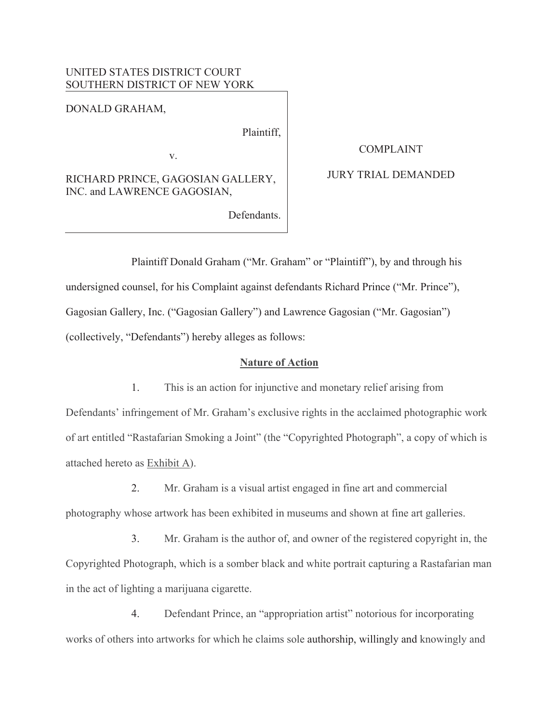## UNITED STATES DISTRICT COURT SOUTHERN DISTRICT OF NEW YORK

DONALD GRAHAM,

Plaintiff,

v.

RICHARD PRINCE, GAGOSIAN GALLERY, INC. and LAWRENCE GAGOSIAN,

Defendants.

COMPLAINT

### JURY TRIAL DEMANDED

Plaintiff Donald Graham ("Mr. Graham" or "Plaintiff"), by and through his undersigned counsel, for his Complaint against defendants Richard Prince ("Mr. Prince"), Gagosian Gallery, Inc. ("Gagosian Gallery") and Lawrence Gagosian ("Mr. Gagosian") (collectively, "Defendants") hereby alleges as follows:

### **Nature of Action**

1. This is an action for injunctive and monetary relief arising from Defendants' infringement of Mr. Graham's exclusive rights in the acclaimed photographic work of art entitled "Rastafarian Smoking a Joint" (the "Copyrighted Photograph", a copy of which is attached hereto as Exhibit A).

2. Mr. Graham is a visual artist engaged in fine art and commercial

photography whose artwork has been exhibited in museums and shown at fine art galleries.

3. Mr. Graham is the author of, and owner of the registered copyright in, the Copyrighted Photograph, which is a somber black and white portrait capturing a Rastafarian man in the act of lighting a marijuana cigarette.

4. Defendant Prince, an "appropriation artist" notorious for incorporating works of others into artworks for which he claims sole authorship, willingly and knowingly and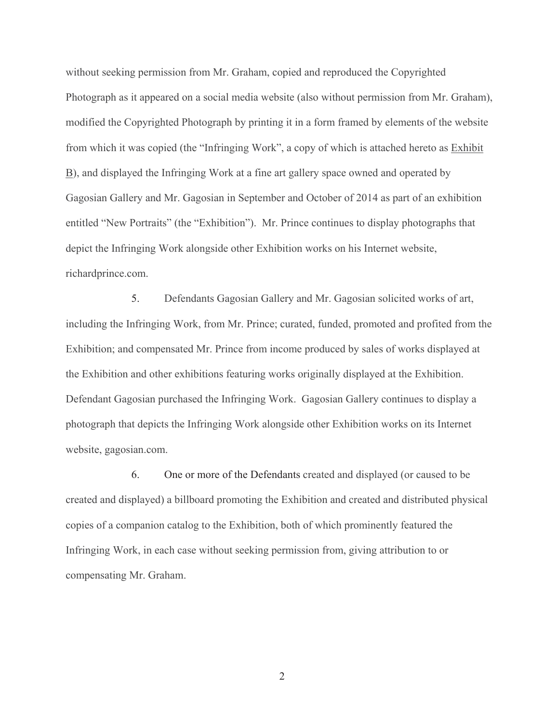without seeking permission from Mr. Graham, copied and reproduced the Copyrighted Photograph as it appeared on a social media website (also without permission from Mr. Graham), modified the Copyrighted Photograph by printing it in a form framed by elements of the website from which it was copied (the "Infringing Work", a copy of which is attached hereto as Exhibit B), and displayed the Infringing Work at a fine art gallery space owned and operated by Gagosian Gallery and Mr. Gagosian in September and October of 2014 as part of an exhibition entitled "New Portraits" (the "Exhibition"). Mr. Prince continues to display photographs that depict the Infringing Work alongside other Exhibition works on his Internet website, richardprince.com.

5. Defendants Gagosian Gallery and Mr. Gagosian solicited works of art, including the Infringing Work, from Mr. Prince; curated, funded, promoted and profited from the Exhibition; and compensated Mr. Prince from income produced by sales of works displayed at the Exhibition and other exhibitions featuring works originally displayed at the Exhibition. Defendant Gagosian purchased the Infringing Work. Gagosian Gallery continues to display a photograph that depicts the Infringing Work alongside other Exhibition works on its Internet website, gagosian.com.

6. One or more of the Defendants created and displayed (or caused to be created and displayed) a billboard promoting the Exhibition and created and distributed physical copies of a companion catalog to the Exhibition, both of which prominently featured the Infringing Work, in each case without seeking permission from, giving attribution to or compensating Mr. Graham.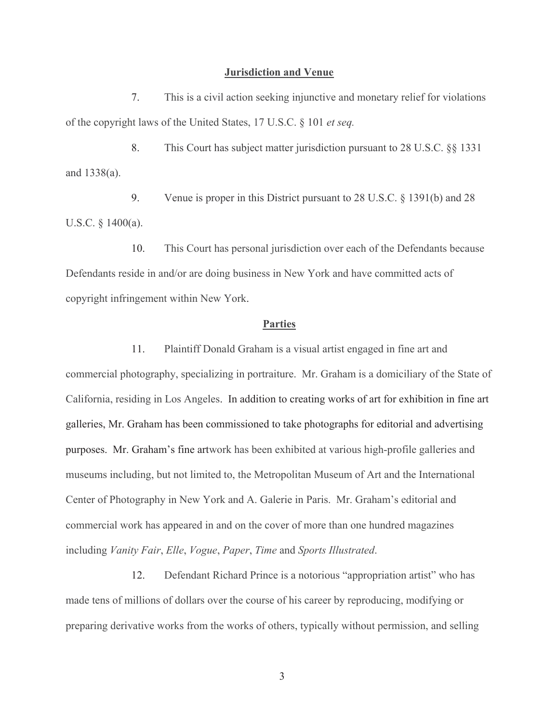#### **Jurisdiction and Venue**

7. This is a civil action seeking injunctive and monetary relief for violations of the copyright laws of the United States, 17 U.S.C. § 101 *et seq.*

8. This Court has subject matter jurisdiction pursuant to 28 U.S.C. §§ 1331 and 1338(a).

9. Venue is proper in this District pursuant to 28 U.S.C. § 1391(b) and 28 U.S.C. § 1400(a).

10. This Court has personal jurisdiction over each of the Defendants because Defendants reside in and/or are doing business in New York and have committed acts of copyright infringement within New York.

#### **Parties**

11. Plaintiff Donald Graham is a visual artist engaged in fine art and commercial photography, specializing in portraiture. Mr. Graham is a domiciliary of the State of California, residing in Los Angeles. In addition to creating works of art for exhibition in fine art galleries, Mr. Graham has been commissioned to take photographs for editorial and advertising purposes. Mr. Graham's fine artwork has been exhibited at various high-profile galleries and museums including, but not limited to, the Metropolitan Museum of Art and the International Center of Photography in New York and A. Galerie in Paris. Mr. Graham's editorial and commercial work has appeared in and on the cover of more than one hundred magazines including *Vanity Fair*, *Elle*, *Vogue*, *Paper*, *Time* and *Sports Illustrated*.

12. Defendant Richard Prince is a notorious "appropriation artist" who has made tens of millions of dollars over the course of his career by reproducing, modifying or preparing derivative works from the works of others, typically without permission, and selling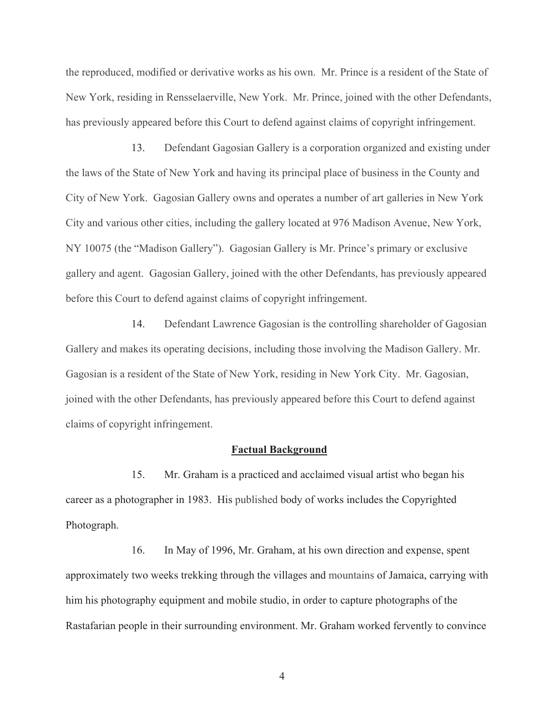the reproduced, modified or derivative works as his own. Mr. Prince is a resident of the State of New York, residing in Rensselaerville, New York. Mr. Prince, joined with the other Defendants, has previously appeared before this Court to defend against claims of copyright infringement.

13. Defendant Gagosian Gallery is a corporation organized and existing under the laws of the State of New York and having its principal place of business in the County and City of New York. Gagosian Gallery owns and operates a number of art galleries in New York City and various other cities, including the gallery located at 976 Madison Avenue, New York, NY 10075 (the "Madison Gallery"). Gagosian Gallery is Mr. Prince's primary or exclusive gallery and agent. Gagosian Gallery, joined with the other Defendants, has previously appeared before this Court to defend against claims of copyright infringement.

14. Defendant Lawrence Gagosian is the controlling shareholder of Gagosian Gallery and makes its operating decisions, including those involving the Madison Gallery. Mr. Gagosian is a resident of the State of New York, residing in New York City. Mr. Gagosian, joined with the other Defendants, has previously appeared before this Court to defend against claims of copyright infringement.

#### **Factual Background**

15. Mr. Graham is a practiced and acclaimed visual artist who began his career as a photographer in 1983. His published body of works includes the Copyrighted Photograph.

16. In May of 1996, Mr. Graham, at his own direction and expense, spent approximately two weeks trekking through the villages and mountains of Jamaica, carrying with him his photography equipment and mobile studio, in order to capture photographs of the Rastafarian people in their surrounding environment. Mr. Graham worked fervently to convince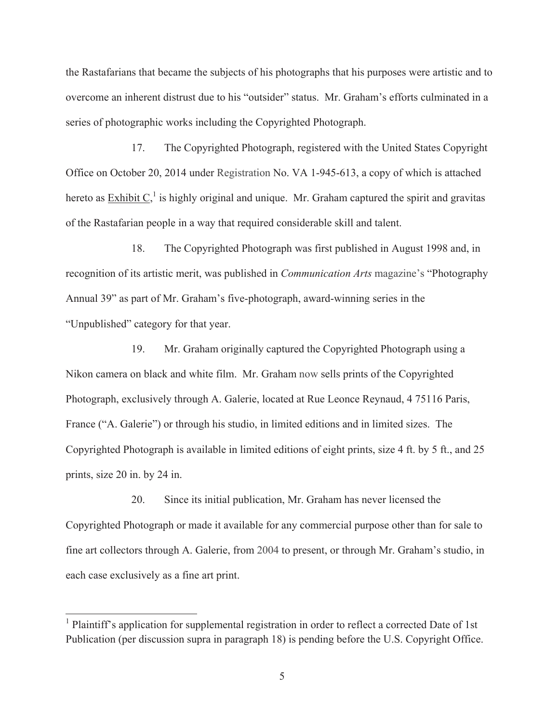the Rastafarians that became the subjects of his photographs that his purposes were artistic and to overcome an inherent distrust due to his "outsider" status. Mr. Graham's efforts culminated in a series of photographic works including the Copyrighted Photograph.

17. The Copyrighted Photograph, registered with the United States Copyright Office on October 20, 2014 under Registration No. VA 1-945-613, a copy of which is attached hereto as  $\overline{\text{Exhibit C}}_1^1$  is highly original and unique. Mr. Graham captured the spirit and gravitas of the Rastafarian people in a way that required considerable skill and talent.

18. The Copyrighted Photograph was first published in August 1998 and, in recognition of its artistic merit, was published in *Communication Arts* magazine's "Photography Annual 39" as part of Mr. Graham's five-photograph, award-winning series in the "Unpublished" category for that year.

19. Mr. Graham originally captured the Copyrighted Photograph using a Nikon camera on black and white film. Mr. Graham now sells prints of the Copyrighted Photograph, exclusively through A. Galerie, located at Rue Leonce Reynaud, 4 75116 Paris, France ("A. Galerie") or through his studio, in limited editions and in limited sizes. The Copyrighted Photograph is available in limited editions of eight prints, size 4 ft. by 5 ft., and 25 prints, size 20 in. by 24 in.

20. Since its initial publication, Mr. Graham has never licensed the Copyrighted Photograph or made it available for any commercial purpose other than for sale to fine art collectors through A. Galerie, from 2004 to present, or through Mr. Graham's studio, in each case exclusively as a fine art print.

<u> 1989 - Johann Stein, marwolaethau a bh</u>

<sup>&</sup>lt;sup>1</sup> Plaintiff's application for supplemental registration in order to reflect a corrected Date of 1st Publication (per discussion supra in paragraph 18) is pending before the U.S. Copyright Office.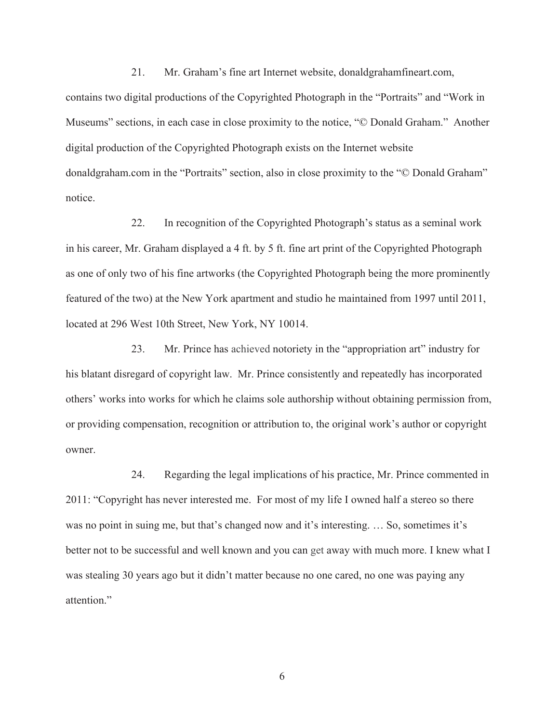21. Mr. Graham's fine art Internet website, donaldgrahamfineart.com, contains two digital productions of the Copyrighted Photograph in the "Portraits" and "Work in Museums" sections, in each case in close proximity to the notice, "© Donald Graham." Another digital production of the Copyrighted Photograph exists on the Internet website donaldgraham.com in the "Portraits" section, also in close proximity to the "© Donald Graham" notice.

22. In recognition of the Copyrighted Photograph's status as a seminal work in his career, Mr. Graham displayed a 4 ft. by 5 ft. fine art print of the Copyrighted Photograph as one of only two of his fine artworks (the Copyrighted Photograph being the more prominently featured of the two) at the New York apartment and studio he maintained from 1997 until 2011, located at 296 West 10th Street, New York, NY 10014.

23. Mr. Prince has achieved notoriety in the "appropriation art" industry for his blatant disregard of copyright law. Mr. Prince consistently and repeatedly has incorporated others' works into works for which he claims sole authorship without obtaining permission from, or providing compensation, recognition or attribution to, the original work's author or copyright owner.

24. Regarding the legal implications of his practice, Mr. Prince commented in 2011: "Copyright has never interested me. For most of my life I owned half a stereo so there was no point in suing me, but that's changed now and it's interesting. … So, sometimes it's better not to be successful and well known and you can get away with much more. I knew what I was stealing 30 years ago but it didn't matter because no one cared, no one was paying any attention."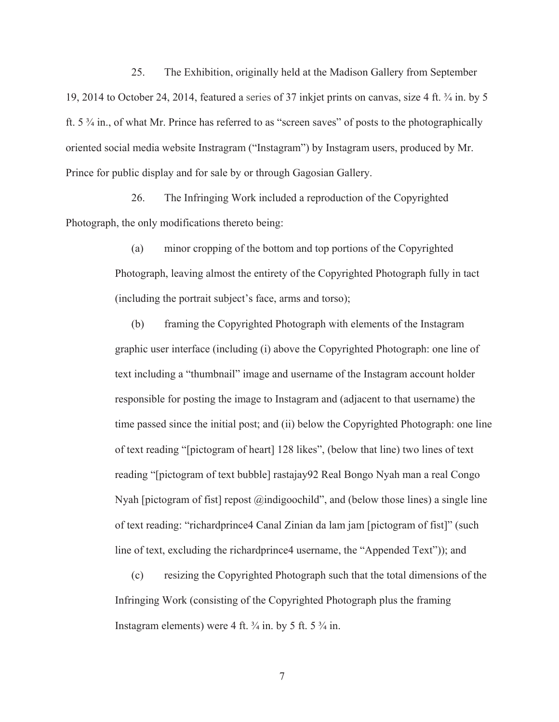25. The Exhibition, originally held at the Madison Gallery from September 19, 2014 to October 24, 2014, featured a series of 37 inkjet prints on canvas, size 4 ft. ¾ in. by 5 ft. 5 ¾ in., of what Mr. Prince has referred to as "screen saves" of posts to the photographically oriented social media website Instragram ("Instagram") by Instagram users, produced by Mr. Prince for public display and for sale by or through Gagosian Gallery.

26. The Infringing Work included a reproduction of the Copyrighted Photograph, the only modifications thereto being:

> (a) minor cropping of the bottom and top portions of the Copyrighted Photograph, leaving almost the entirety of the Copyrighted Photograph fully in tact (including the portrait subject's face, arms and torso);

(b) framing the Copyrighted Photograph with elements of the Instagram graphic user interface (including (i) above the Copyrighted Photograph: one line of text including a "thumbnail" image and username of the Instagram account holder responsible for posting the image to Instagram and (adjacent to that username) the time passed since the initial post; and (ii) below the Copyrighted Photograph: one line of text reading "[pictogram of heart] 128 likes", (below that line) two lines of text reading "[pictogram of text bubble] rastajay92 Real Bongo Nyah man a real Congo Nyah [pictogram of fist] repost @indigoochild", and (below those lines) a single line of text reading: "richardprince4 Canal Zinian da lam jam [pictogram of fist]" (such line of text, excluding the richardprince4 username, the "Appended Text")); and

(c) resizing the Copyrighted Photograph such that the total dimensions of the Infringing Work (consisting of the Copyrighted Photograph plus the framing Instagram elements) were 4 ft.  $\frac{3}{4}$  in. by 5 ft. 5  $\frac{3}{4}$  in.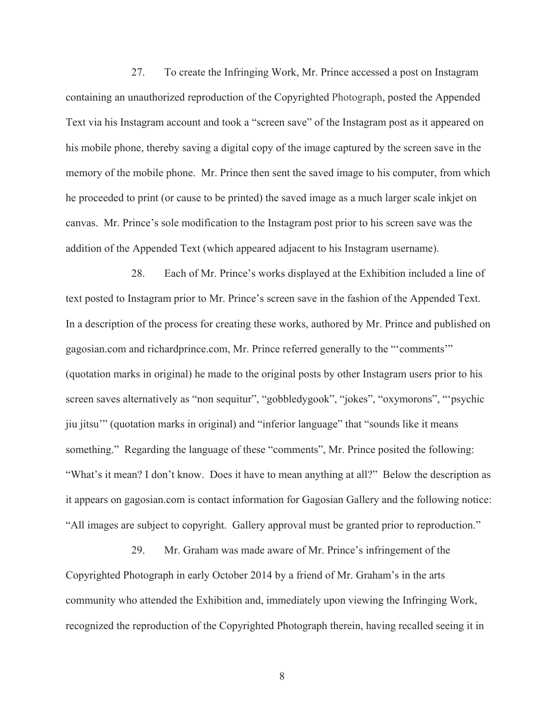27. To create the Infringing Work, Mr. Prince accessed a post on Instagram containing an unauthorized reproduction of the Copyrighted Photograph, posted the Appended Text via his Instagram account and took a "screen save" of the Instagram post as it appeared on his mobile phone, thereby saving a digital copy of the image captured by the screen save in the memory of the mobile phone. Mr. Prince then sent the saved image to his computer, from which he proceeded to print (or cause to be printed) the saved image as a much larger scale inkjet on canvas. Mr. Prince's sole modification to the Instagram post prior to his screen save was the addition of the Appended Text (which appeared adjacent to his Instagram username).

28. Each of Mr. Prince's works displayed at the Exhibition included a line of text posted to Instagram prior to Mr. Prince's screen save in the fashion of the Appended Text. In a description of the process for creating these works, authored by Mr. Prince and published on gagosian.com and richardprince.com, Mr. Prince referred generally to the "'comments'" (quotation marks in original) he made to the original posts by other Instagram users prior to his screen saves alternatively as "non sequitur", "gobbledygook", "jokes", "oxymorons", "'psychic jiu jitsu'" (quotation marks in original) and "inferior language" that "sounds like it means something." Regarding the language of these "comments", Mr. Prince posited the following: "What's it mean? I don't know. Does it have to mean anything at all?" Below the description as it appears on gagosian.com is contact information for Gagosian Gallery and the following notice: "All images are subject to copyright. Gallery approval must be granted prior to reproduction."

29. Mr. Graham was made aware of Mr. Prince's infringement of the Copyrighted Photograph in early October 2014 by a friend of Mr. Graham's in the arts community who attended the Exhibition and, immediately upon viewing the Infringing Work, recognized the reproduction of the Copyrighted Photograph therein, having recalled seeing it in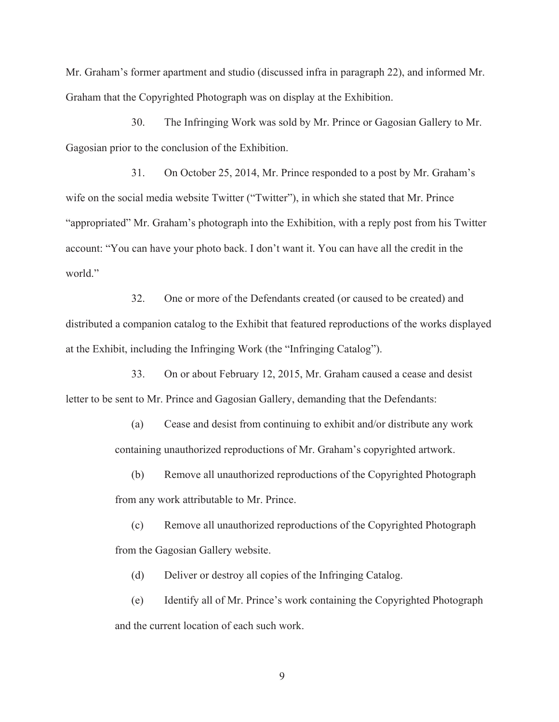Mr. Graham's former apartment and studio (discussed infra in paragraph 22), and informed Mr. Graham that the Copyrighted Photograph was on display at the Exhibition.

30. The Infringing Work was sold by Mr. Prince or Gagosian Gallery to Mr. Gagosian prior to the conclusion of the Exhibition.

31. On October 25, 2014, Mr. Prince responded to a post by Mr. Graham's wife on the social media website Twitter ("Twitter"), in which she stated that Mr. Prince "appropriated" Mr. Graham's photograph into the Exhibition, with a reply post from his Twitter account: "You can have your photo back. I don't want it. You can have all the credit in the world<sup>"</sup>

32. One or more of the Defendants created (or caused to be created) and distributed a companion catalog to the Exhibit that featured reproductions of the works displayed at the Exhibit, including the Infringing Work (the "Infringing Catalog").

33. On or about February 12, 2015, Mr. Graham caused a cease and desist letter to be sent to Mr. Prince and Gagosian Gallery, demanding that the Defendants:

> (a) Cease and desist from continuing to exhibit and/or distribute any work containing unauthorized reproductions of Mr. Graham's copyrighted artwork.

> (b) Remove all unauthorized reproductions of the Copyrighted Photograph from any work attributable to Mr. Prince.

> (c) Remove all unauthorized reproductions of the Copyrighted Photograph from the Gagosian Gallery website.

(d) Deliver or destroy all copies of the Infringing Catalog.

(e) Identify all of Mr. Prince's work containing the Copyrighted Photograph and the current location of each such work.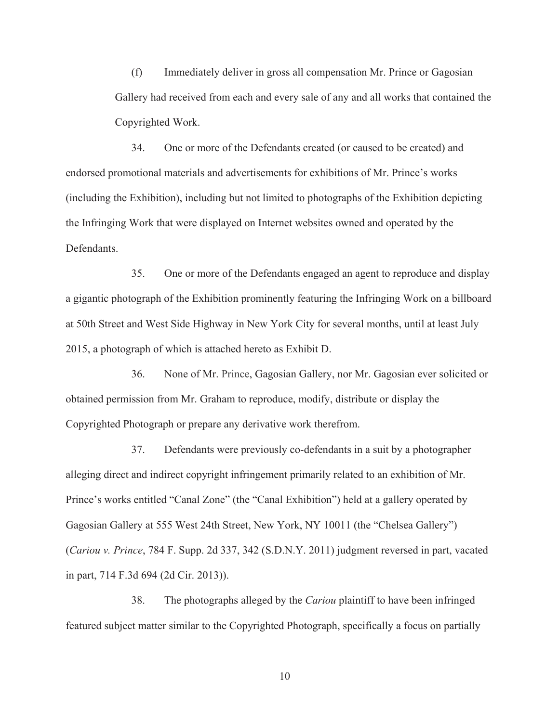(f) Immediately deliver in gross all compensation Mr. Prince or Gagosian Gallery had received from each and every sale of any and all works that contained the Copyrighted Work.

34. One or more of the Defendants created (or caused to be created) and endorsed promotional materials and advertisements for exhibitions of Mr. Prince's works (including the Exhibition), including but not limited to photographs of the Exhibition depicting the Infringing Work that were displayed on Internet websites owned and operated by the **Defendants** 

35. One or more of the Defendants engaged an agent to reproduce and display a gigantic photograph of the Exhibition prominently featuring the Infringing Work on a billboard at 50th Street and West Side Highway in New York City for several months, until at least July 2015, a photograph of which is attached hereto as Exhibit D.

36. None of Mr. Prince, Gagosian Gallery, nor Mr. Gagosian ever solicited or obtained permission from Mr. Graham to reproduce, modify, distribute or display the Copyrighted Photograph or prepare any derivative work therefrom.

37. Defendants were previously co-defendants in a suit by a photographer alleging direct and indirect copyright infringement primarily related to an exhibition of Mr. Prince's works entitled "Canal Zone" (the "Canal Exhibition") held at a gallery operated by Gagosian Gallery at 555 West 24th Street, New York, NY 10011 (the "Chelsea Gallery") (*Cariou v. Prince*, 784 F. Supp. 2d 337, 342 (S.D.N.Y. 2011) judgment reversed in part, vacated in part, 714 F.3d 694 (2d Cir. 2013)).

38. The photographs alleged by the *Cariou* plaintiff to have been infringed featured subject matter similar to the Copyrighted Photograph, specifically a focus on partially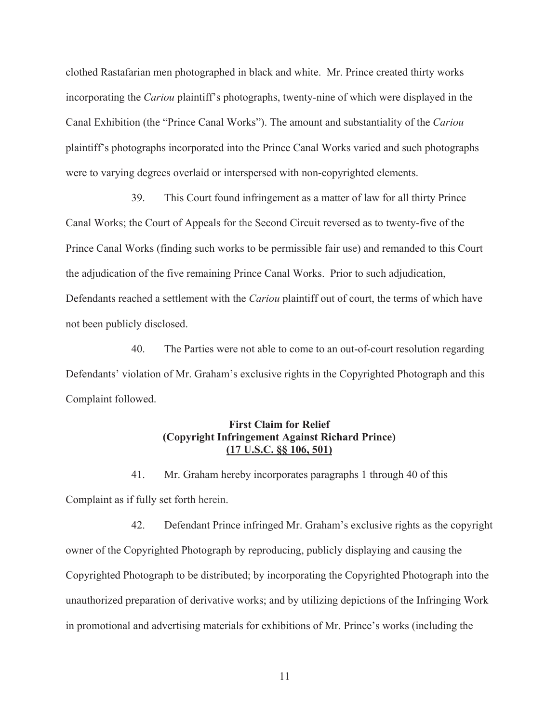clothed Rastafarian men photographed in black and white. Mr. Prince created thirty works incorporating the *Cariou* plaintiff's photographs, twenty-nine of which were displayed in the Canal Exhibition (the "Prince Canal Works"). The amount and substantiality of the *Cariou* plaintiff's photographs incorporated into the Prince Canal Works varied and such photographs were to varying degrees overlaid or interspersed with non-copyrighted elements.

39. This Court found infringement as a matter of law for all thirty Prince Canal Works; the Court of Appeals for the Second Circuit reversed as to twenty-five of the Prince Canal Works (finding such works to be permissible fair use) and remanded to this Court the adjudication of the five remaining Prince Canal Works. Prior to such adjudication, Defendants reached a settlement with the *Cariou* plaintiff out of court, the terms of which have not been publicly disclosed.

40. The Parties were not able to come to an out-of-court resolution regarding Defendants' violation of Mr. Graham's exclusive rights in the Copyrighted Photograph and this Complaint followed.

## **First Claim for Relief (Copyright Infringement Against Richard Prince) (17 U.S.C. §§ 106, 501)**

41. Mr. Graham hereby incorporates paragraphs 1 through 40 of this Complaint as if fully set forth herein.

42. Defendant Prince infringed Mr. Graham's exclusive rights as the copyright owner of the Copyrighted Photograph by reproducing, publicly displaying and causing the Copyrighted Photograph to be distributed; by incorporating the Copyrighted Photograph into the unauthorized preparation of derivative works; and by utilizing depictions of the Infringing Work in promotional and advertising materials for exhibitions of Mr. Prince's works (including the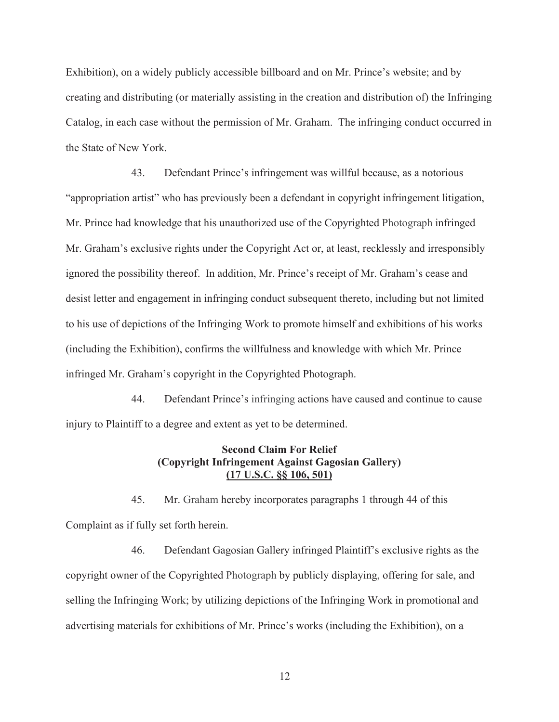Exhibition), on a widely publicly accessible billboard and on Mr. Prince's website; and by creating and distributing (or materially assisting in the creation and distribution of) the Infringing Catalog, in each case without the permission of Mr. Graham. The infringing conduct occurred in the State of New York.

43. Defendant Prince's infringement was willful because, as a notorious "appropriation artist" who has previously been a defendant in copyright infringement litigation, Mr. Prince had knowledge that his unauthorized use of the Copyrighted Photograph infringed Mr. Graham's exclusive rights under the Copyright Act or, at least, recklessly and irresponsibly ignored the possibility thereof. In addition, Mr. Prince's receipt of Mr. Graham's cease and desist letter and engagement in infringing conduct subsequent thereto, including but not limited to his use of depictions of the Infringing Work to promote himself and exhibitions of his works (including the Exhibition), confirms the willfulness and knowledge with which Mr. Prince infringed Mr. Graham's copyright in the Copyrighted Photograph.

44. Defendant Prince's infringing actions have caused and continue to cause injury to Plaintiff to a degree and extent as yet to be determined.

## **Second Claim For Relief (Copyright Infringement Against Gagosian Gallery) (17 U.S.C. §§ 106, 501)**

45. Mr. Graham hereby incorporates paragraphs 1 through 44 of this Complaint as if fully set forth herein.

46. Defendant Gagosian Gallery infringed Plaintiff's exclusive rights as the copyright owner of the Copyrighted Photograph by publicly displaying, offering for sale, and selling the Infringing Work; by utilizing depictions of the Infringing Work in promotional and advertising materials for exhibitions of Mr. Prince's works (including the Exhibition), on a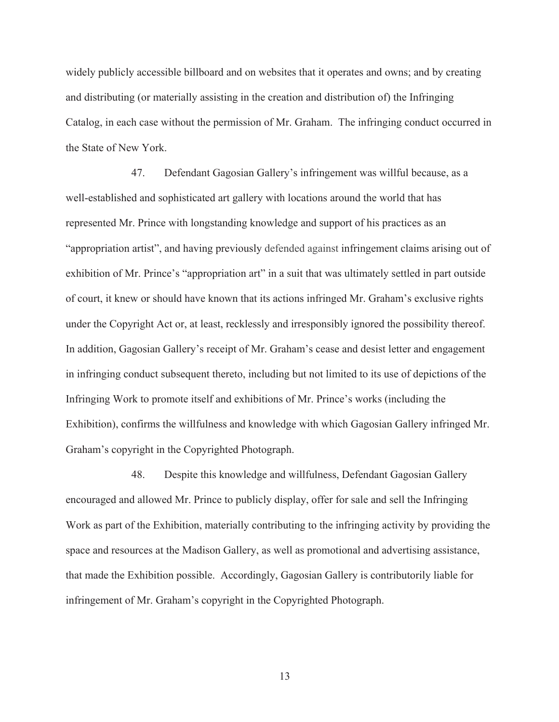widely publicly accessible billboard and on websites that it operates and owns; and by creating and distributing (or materially assisting in the creation and distribution of) the Infringing Catalog, in each case without the permission of Mr. Graham. The infringing conduct occurred in the State of New York.

47. Defendant Gagosian Gallery's infringement was willful because, as a well-established and sophisticated art gallery with locations around the world that has represented Mr. Prince with longstanding knowledge and support of his practices as an "appropriation artist", and having previously defended against infringement claims arising out of exhibition of Mr. Prince's "appropriation art" in a suit that was ultimately settled in part outside of court, it knew or should have known that its actions infringed Mr. Graham's exclusive rights under the Copyright Act or, at least, recklessly and irresponsibly ignored the possibility thereof. In addition, Gagosian Gallery's receipt of Mr. Graham's cease and desist letter and engagement in infringing conduct subsequent thereto, including but not limited to its use of depictions of the Infringing Work to promote itself and exhibitions of Mr. Prince's works (including the Exhibition), confirms the willfulness and knowledge with which Gagosian Gallery infringed Mr. Graham's copyright in the Copyrighted Photograph.

48. Despite this knowledge and willfulness, Defendant Gagosian Gallery encouraged and allowed Mr. Prince to publicly display, offer for sale and sell the Infringing Work as part of the Exhibition, materially contributing to the infringing activity by providing the space and resources at the Madison Gallery, as well as promotional and advertising assistance, that made the Exhibition possible. Accordingly, Gagosian Gallery is contributorily liable for infringement of Mr. Graham's copyright in the Copyrighted Photograph.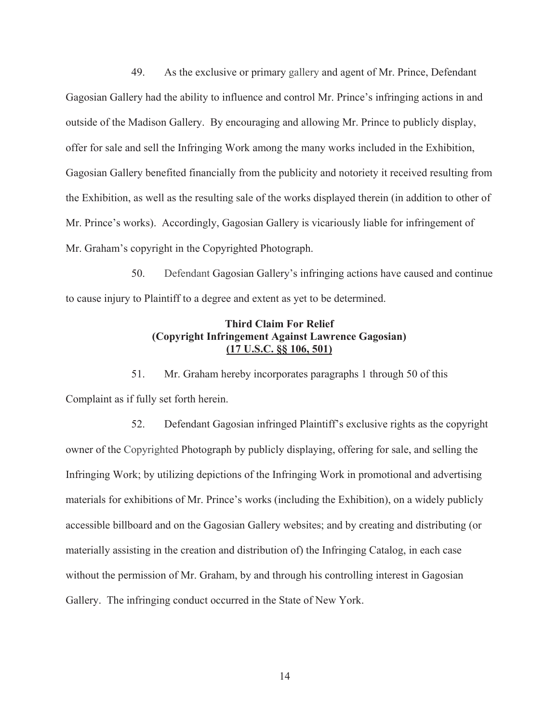49. As the exclusive or primary gallery and agent of Mr. Prince, Defendant Gagosian Gallery had the ability to influence and control Mr. Prince's infringing actions in and outside of the Madison Gallery. By encouraging and allowing Mr. Prince to publicly display, offer for sale and sell the Infringing Work among the many works included in the Exhibition, Gagosian Gallery benefited financially from the publicity and notoriety it received resulting from the Exhibition, as well as the resulting sale of the works displayed therein (in addition to other of Mr. Prince's works). Accordingly, Gagosian Gallery is vicariously liable for infringement of Mr. Graham's copyright in the Copyrighted Photograph.

50. Defendant Gagosian Gallery's infringing actions have caused and continue to cause injury to Plaintiff to a degree and extent as yet to be determined.

# **Third Claim For Relief (Copyright Infringement Against Lawrence Gagosian) (17 U.S.C. §§ 106, 501)**

51. Mr. Graham hereby incorporates paragraphs 1 through 50 of this Complaint as if fully set forth herein.

52. Defendant Gagosian infringed Plaintiff's exclusive rights as the copyright owner of the Copyrighted Photograph by publicly displaying, offering for sale, and selling the Infringing Work; by utilizing depictions of the Infringing Work in promotional and advertising materials for exhibitions of Mr. Prince's works (including the Exhibition), on a widely publicly accessible billboard and on the Gagosian Gallery websites; and by creating and distributing (or materially assisting in the creation and distribution of) the Infringing Catalog, in each case without the permission of Mr. Graham, by and through his controlling interest in Gagosian Gallery. The infringing conduct occurred in the State of New York.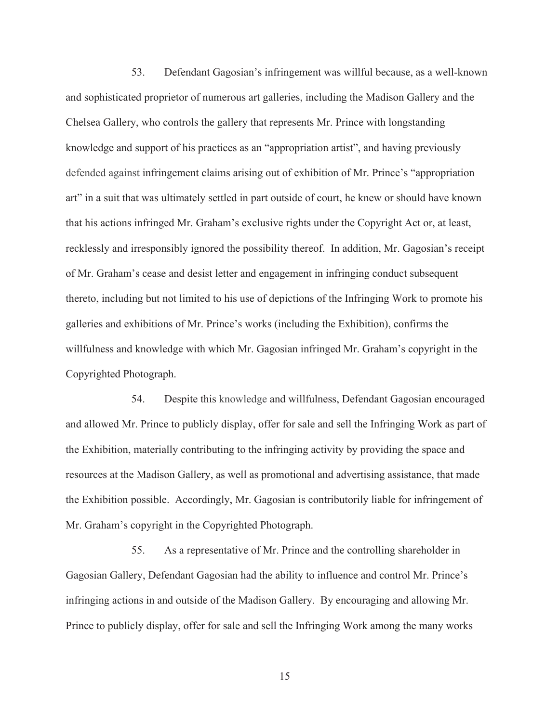53. Defendant Gagosian's infringement was willful because, as a well-known and sophisticated proprietor of numerous art galleries, including the Madison Gallery and the Chelsea Gallery, who controls the gallery that represents Mr. Prince with longstanding knowledge and support of his practices as an "appropriation artist", and having previously defended against infringement claims arising out of exhibition of Mr. Prince's "appropriation art" in a suit that was ultimately settled in part outside of court, he knew or should have known that his actions infringed Mr. Graham's exclusive rights under the Copyright Act or, at least, recklessly and irresponsibly ignored the possibility thereof. In addition, Mr. Gagosian's receipt of Mr. Graham's cease and desist letter and engagement in infringing conduct subsequent thereto, including but not limited to his use of depictions of the Infringing Work to promote his galleries and exhibitions of Mr. Prince's works (including the Exhibition), confirms the willfulness and knowledge with which Mr. Gagosian infringed Mr. Graham's copyright in the Copyrighted Photograph.

54. Despite this knowledge and willfulness, Defendant Gagosian encouraged and allowed Mr. Prince to publicly display, offer for sale and sell the Infringing Work as part of the Exhibition, materially contributing to the infringing activity by providing the space and resources at the Madison Gallery, as well as promotional and advertising assistance, that made the Exhibition possible. Accordingly, Mr. Gagosian is contributorily liable for infringement of Mr. Graham's copyright in the Copyrighted Photograph.

55. As a representative of Mr. Prince and the controlling shareholder in Gagosian Gallery, Defendant Gagosian had the ability to influence and control Mr. Prince's infringing actions in and outside of the Madison Gallery. By encouraging and allowing Mr. Prince to publicly display, offer for sale and sell the Infringing Work among the many works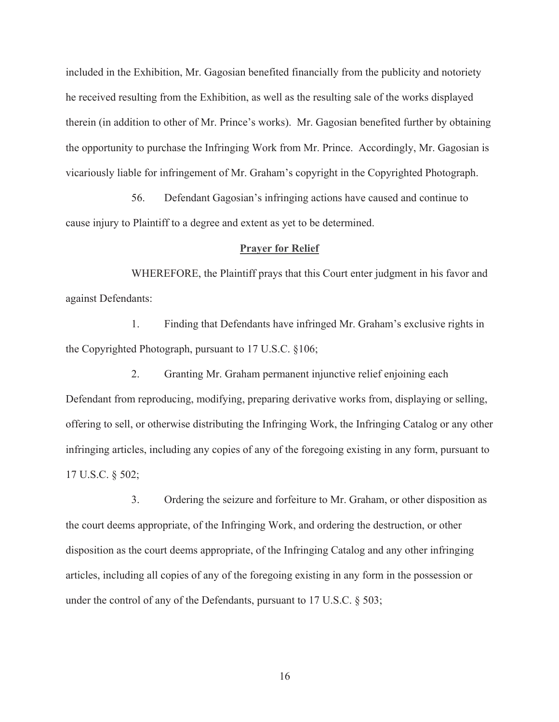included in the Exhibition, Mr. Gagosian benefited financially from the publicity and notoriety he received resulting from the Exhibition, as well as the resulting sale of the works displayed therein (in addition to other of Mr. Prince's works). Mr. Gagosian benefited further by obtaining the opportunity to purchase the Infringing Work from Mr. Prince. Accordingly, Mr. Gagosian is vicariously liable for infringement of Mr. Graham's copyright in the Copyrighted Photograph.

56. Defendant Gagosian's infringing actions have caused and continue to cause injury to Plaintiff to a degree and extent as yet to be determined.

#### **Prayer for Relief**

WHEREFORE, the Plaintiff prays that this Court enter judgment in his favor and against Defendants:

1. Finding that Defendants have infringed Mr. Graham's exclusive rights in the Copyrighted Photograph, pursuant to 17 U.S.C. §106;

2. Granting Mr. Graham permanent injunctive relief enjoining each Defendant from reproducing, modifying, preparing derivative works from, displaying or selling, offering to sell, or otherwise distributing the Infringing Work, the Infringing Catalog or any other infringing articles, including any copies of any of the foregoing existing in any form, pursuant to 17 U.S.C. § 502;

3. Ordering the seizure and forfeiture to Mr. Graham, or other disposition as the court deems appropriate, of the Infringing Work, and ordering the destruction, or other disposition as the court deems appropriate, of the Infringing Catalog and any other infringing articles, including all copies of any of the foregoing existing in any form in the possession or under the control of any of the Defendants, pursuant to 17 U.S.C. § 503;